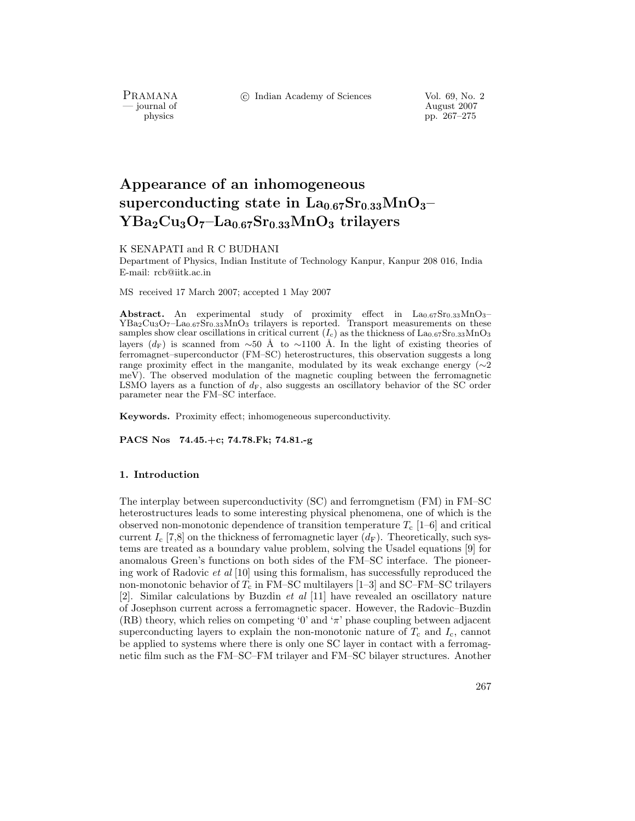PRAMANA<br>— journal of

c Indian Academy of Sciences Vol. 69, No. 2

August 2007 physics pp. 267–275

# **Appearance of an inhomogeneous superconducting state in La0**.**67Sr0**.**33MnO3– YBa2Cu3O7–La0**.**67Sr0**.**33MnO<sup>3</sup> trilayers**

## K SENAPATI and R C BUDHANI

Department of Physics, Indian Institute of Technology Kanpur, Kanpur 208 016, India E-mail: rcb@iitk.ac.in

MS received 17 March 2007; accepted 1 May 2007

Abstract. An experimental study of proximity effect in La<sub>0.67</sub>Sr<sub>0.33</sub>MnO<sub>3</sub>–YBa<sub>2</sub>Cu<sub>3</sub>O<sub>7</sub>–La<sub>0.67</sub>Sr<sub>0.33</sub>MnO<sub>3</sub> trilayers is reported. Transport measurements on these samples show clear oscillations in critical current  $(I_c)$  as the thickness of  $\text{La}_{0.67}\text{Sr}_{0.33}\text{MnO}_3$ layers ( $d_F$ ) is scanned from ∼50 Å to ∼1100 Å. In the light of existing theories of ferromagnet–superconductor (FM–SC) heterostructures, this observation suggests a long range proximity effect in the manganite, modulated by its weak exchange energy (∼2 meV). The observed modulation of the magnetic coupling between the ferromagnetic LSMO layers as a function of  $d_F$ , also suggests an oscillatory behavior of the SC order parameter near the FM–SC interface.

**Keywords.** Proximity effect; inhomogeneous superconductivity.

**PACS Nos 74.45.+c; 74.78.Fk; 74.81.-g**

## **1. Introduction**

The interplay between superconductivity (SC) and ferromgnetism (FM) in FM–SC heterostructures leads to some interesting physical phenomena, one of which is the observed non-monotonic dependence of transition temperature  $T_c$  [1–6] and critical current  $I_c$  [7,8] on the thickness of ferromagnetic layer  $(d_F)$ . Theoretically, such systems are treated as a boundary value problem, solving the Usadel equations [9] for anomalous Green's functions on both sides of the FM–SC interface. The pioneering work of Radovic *et al* [10] using this formalism, has successfully reproduced the non-monotonic behavior of  $T_c$  in FM–SC multilayers [1–3] and SC–FM–SC trilayers [2]. Similar calculations by Buzdin *et al* [11] have revealed an oscillatory nature of Josephson current across a ferromagnetic spacer. However, the Radovic–Buzdin  $(RB)$  theory, which relies on competing '0' and ' $\pi$ ' phase coupling between adjacent superconducting layers to explain the non-monotonic nature of  $T_c$  and  $I_c$ , cannot be applied to systems where there is only one SC layer in contact with a ferromagnetic film such as the FM–SC–FM trilayer and FM–SC bilayer structures. Another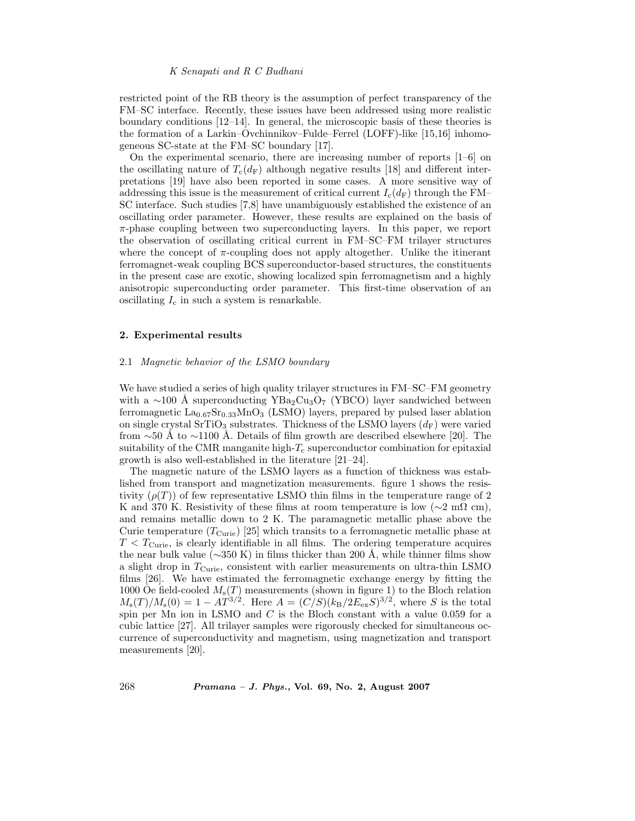## *K Senapati and R C Budhani*

restricted point of the RB theory is the assumption of perfect transparency of the FM–SC interface. Recently, these issues have been addressed using more realistic boundary conditions [12–14]. In general, the microscopic basis of these theories is the formation of a Larkin–Ovchinnikov–Fulde–Ferrel (LOFF)-like [15,16] inhomogeneous SC-state at the FM–SC boundary [17].

On the experimental scenario, there are increasing number of reports [1–6] on the oscillating nature of  $T_c(d_F)$  although negative results [18] and different interpretations [19] have also been reported in some cases. A more sensitive way of addressing this issue is the measurement of critical current  $I_c(d_F)$  through the FM– SC interface. Such studies [7,8] have unambiguously established the existence of an oscillating order parameter. However, these results are explained on the basis of  $\pi$ -phase coupling between two superconducting layers. In this paper, we report the observation of oscillating critical current in FM–SC–FM trilayer structures where the concept of  $\pi$ -coupling does not apply altogether. Unlike the itinerant ferromagnet-weak coupling BCS superconductor-based structures, the constituents in the present case are exotic, showing localized spin ferromagnetism and a highly anisotropic superconducting order parameter. This first-time observation of an oscillating  $I_c$  in such a system is remarkable.

# **2. Experimental results**

## 2.1 *Magnetic behavior of the LSMO boundary*

We have studied a series of high quality trilayer structures in FM–SC–FM geometry with a ∼100 Å superconducting YBa<sub>2</sub>Cu<sub>3</sub>O<sub>7</sub> (YBCO) layer sandwiched between ferromagnetic La0*.*67Sr0*.*33MnO<sup>3</sup> (LSMO) layers, prepared by pulsed laser ablation on single crystal SrTiO<sub>3</sub> substrates. Thickness of the LSMO layers  $(d_F)$  were varied from ∼50 Å to ∼1100 Å. Details of film growth are described elsewhere [20]. The suitability of the CMR manganite high- $T_c$  superconductor combination for epitaxial growth is also well-established in the literature [21–24].

The magnetic nature of the LSMO layers as a function of thickness was established from transport and magnetization measurements. figure 1 shows the resistivity  $(\rho(T))$  of few representative LSMO thin films in the temperature range of 2 K and 370 K. Resistivity of these films at room temperature is low ( $\sim$ 2 m $\Omega$  cm), and remains metallic down to 2 K. The paramagnetic metallic phase above the Curie temperature  $(T_{\text{Curie}})$  [25] which transits to a ferromagnetic metallic phase at  $T < T<sub>Curie</sub>$ , is clearly identifiable in all films. The ordering temperature acquires the near bulk value ( $\sim$ 350 K) in films thicker than 200 Å, while thinner films show a slight drop in  $T_{\text{Curie}}$ , consistent with earlier measurements on ultra-thin LSMO films [26]. We have estimated the ferromagnetic exchange energy by fitting the 1000 Oe field-cooled  $M_{\rm s}(T)$  measurements (shown in figure 1) to the Bloch relation  $M_{\rm s}(T)/M_{\rm s}(0) = 1 - AT^{3/2}$ . Here  $A = (C/S)(k_B/2E_{\rm ex}S)^{3/2}$ , where S is the total spin per Mn ion in LSMO and  $C$  is the Bloch constant with a value 0.059 for a cubic lattice [27]. All trilayer samples were rigorously checked for simultaneous occurrence of superconductivity and magnetism, using magnetization and transport measurements [20].

268 *Pramana – J. Phys.,* **Vol. 69, No. 2, August 2007**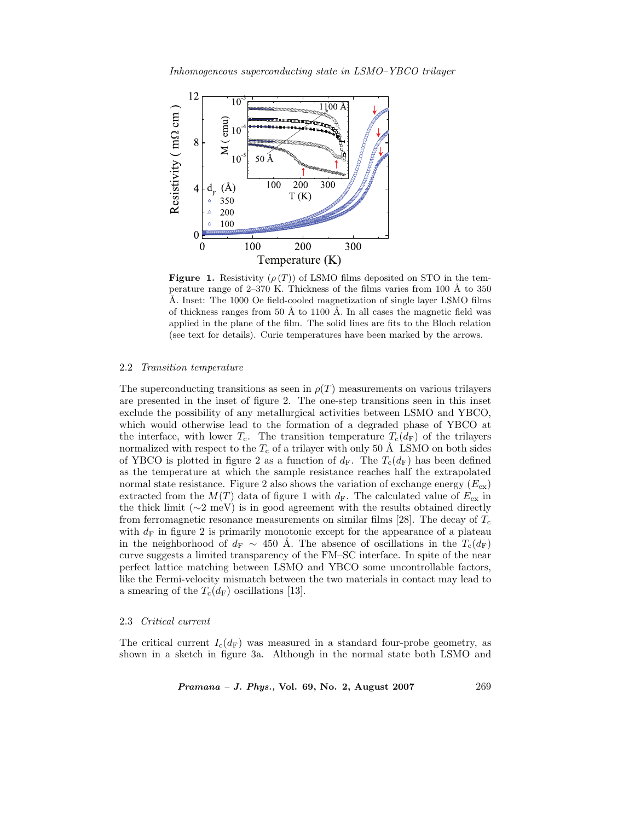

**Figure 1.** Resistivity  $(\rho(T))$  of LSMO films deposited on STO in the temperature range of 2–370 K. Thickness of the films varies from 100 Å to 350 Å. Inset: The 1000 Oe field-cooled magnetization of single layer LSMO films of thickness ranges from 50 Å to 1100 Å. In all cases the magnetic field was applied in the plane of the film. The solid lines are fits to the Bloch relation (see text for details). Curie temperatures have been marked by the arrows.

## 2.2 *Transition temperature*

The superconducting transitions as seen in  $\rho(T)$  measurements on various trilayers are presented in the inset of figure 2. The one-step transitions seen in this inset exclude the possibility of any metallurgical activities between LSMO and YBCO, which would otherwise lead to the formation of a degraded phase of YBCO at the interface, with lower  $T_c$ . The transition temperature  $T_c(d_F)$  of the trilayers normalized with respect to the  $T_c$  of a trilayer with only 50 Å LSMO on both sides of YBCO is plotted in figure 2 as a function of  $d_F$ . The  $T_c(d_F)$  has been defined as the temperature at which the sample resistance reaches half the extrapolated normal state resistance. Figure 2 also shows the variation of exchange energy  $(E_{ex})$ extracted from the  $M(T)$  data of figure 1 with  $d_F$ . The calculated value of  $E_{ex}$  in the thick limit (∼2 meV) is in good agreement with the results obtained directly from ferromagnetic resonance measurements on similar films [28]. The decay of  $T_c$ with  $d_F$  in figure 2 is primarily monotonic except for the appearance of a plateau in the neighborhood of  $d_F \sim 450$  Å. The absence of oscillations in the  $T_c(d_F)$ curve suggests a limited transparency of the FM–SC interface. In spite of the near perfect lattice matching between LSMO and YBCO some uncontrollable factors, like the Fermi-velocity mismatch between the two materials in contact may lead to a smearing of the  $T_c(d_F)$  oscillations [13].

## 2.3 *Critical current*

The critical current  $I_c(d_F)$  was measured in a standard four-probe geometry, as shown in a sketch in figure 3a. Although in the normal state both LSMO and

*Pramana – J. Phys.,* **Vol. 69, No. 2, August 2007** 269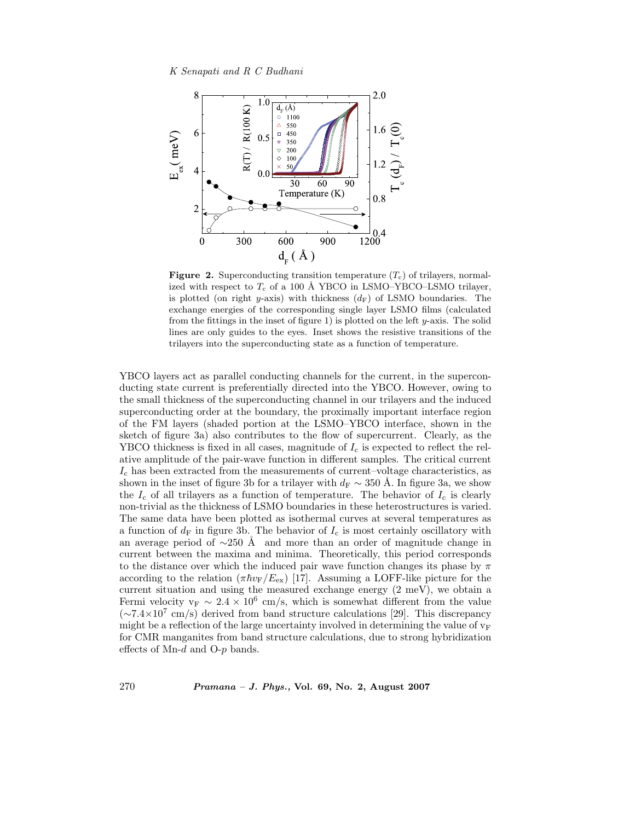*K Senapati and R C Budhani*



**Figure 2.** Superconducting transition temperature  $(T_c)$  of trilayers, normalized with respect to  $T_c$  of a 100 Å YBCO in LSMO–YBCO–LSMO trilayer, is plotted (on right y-axis) with thickness  $(d_F)$  of LSMO boundaries. The exchange energies of the corresponding single layer LSMO films (calculated from the fittings in the inset of figure 1) is plotted on the left  $y$ -axis. The solid lines are only guides to the eyes. Inset shows the resistive transitions of the trilayers into the superconducting state as a function of temperature.

YBCO layers act as parallel conducting channels for the current, in the superconducting state current is preferentially directed into the YBCO. However, owing to the small thickness of the superconducting channel in our trilayers and the induced superconducting order at the boundary, the proximally important interface region of the FM layers (shaded portion at the LSMO–YBCO interface, shown in the sketch of figure 3a) also contributes to the flow of supercurrent. Clearly, as the YBCO thickness is fixed in all cases, magnitude of  $I_c$  is expected to reflect the relative amplitude of the pair-wave function in different samples. The critical current  $I_c$  has been extracted from the measurements of current–voltage characteristics, as shown in the inset of figure 3b for a trilayer with  $d_F \sim 350$  Å. In figure 3a, we show the  $I_c$  of all trilayers as a function of temperature. The behavior of  $I_c$  is clearly non-trivial as the thickness of LSMO boundaries in these heterostructures is varied. The same data have been plotted as isothermal curves at several temperatures as a function of  $d_F$  in figure 3b. The behavior of  $I_c$  is most certainly oscillatory with an average period of  $\sim$ 250 Å and more than an order of magnitude change in current between the maxima and minima. Theoretically, this period corresponds to the distance over which the induced pair wave function changes its phase by  $\pi$ according to the relation  $(\pi \hbar v_{\rm F}/E_{\rm ex})$  [17]. Assuming a LOFF-like picture for the current situation and using the measured exchange energy (2 meV), we obtain a Fermi velocity  $v_F \sim 2.4 \times 10^6$  cm/s, which is somewhat different from the value  $({\sim}7.4\times10^{7}$  cm/s) derived from band structure calculations [29]. This discrepancy might be a reflection of the large uncertainty involved in determining the value of  $v_F$ for CMR manganites from band structure calculations, due to strong hybridization effects of Mn-d and O-p bands.

270 *Pramana – J. Phys.,* **Vol. 69, No. 2, August 2007**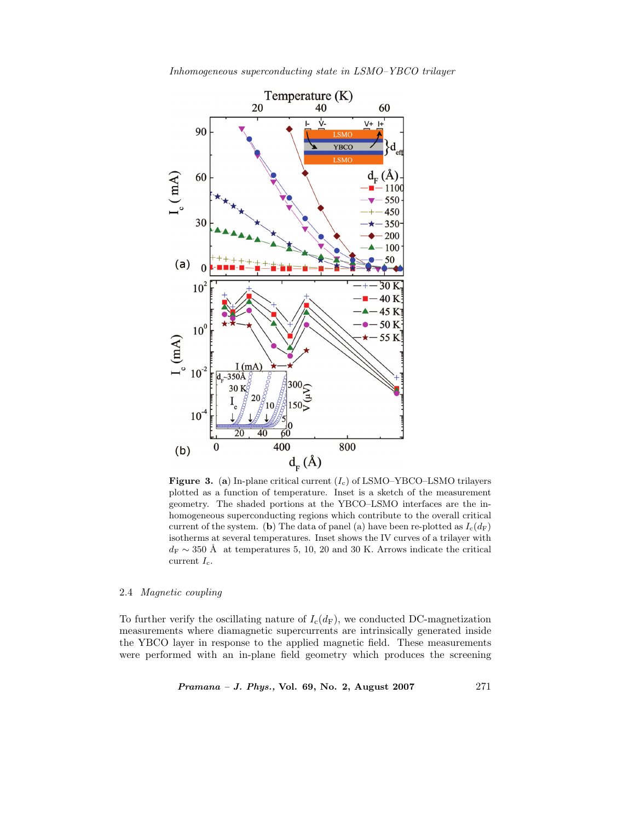

*Inhomogeneous superconducting state in LSMO–YBCO trilayer*

**Figure 3.** (a) In-plane critical current  $(I_c)$  of LSMO–YBCO–LSMO trilayers plotted as a function of temperature. Inset is a sketch of the measurement geometry. The shaded portions at the YBCO–LSMO interfaces are the inhomogeneous superconducting regions which contribute to the overall critical current of the system. (**b**) The data of panel (a) have been re-plotted as  $I_c(d_F)$ isotherms at several temperatures. Inset shows the IV curves of a trilayer with  $d_F \sim 350$  Å at temperatures 5, 10, 20 and 30 K. Arrows indicate the critical current  $I_c$ .

# 2.4 *Magnetic coupling*

To further verify the oscillating nature of  $I_c(d_F)$ , we conducted DC-magnetization measurements where diamagnetic supercurrents are intrinsically generated inside the YBCO layer in response to the applied magnetic field. These measurements were performed with an in-plane field geometry which produces the screening

*Pramana – J. Phys.,* **Vol. 69, No. 2, August 2007** 271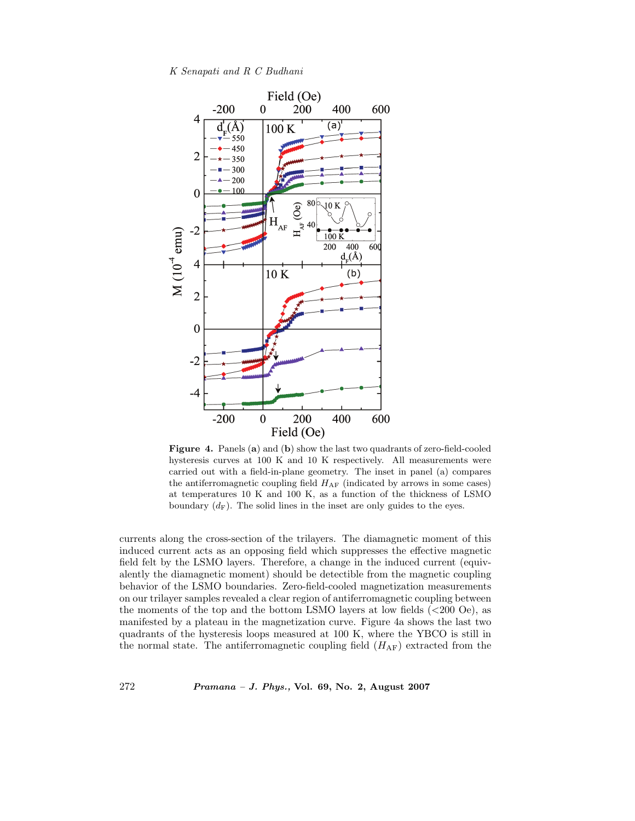*K Senapati and R C Budhani*



**Figure 4.** Panels (**a**) and (**b**) show the last two quadrants of zero-field-cooled hysteresis curves at 100 K and 10 K respectively. All measurements were carried out with a field-in-plane geometry. The inset in panel (a) compares the antiferromagnetic coupling field  $H_{AF}$  (indicated by arrows in some cases) at temperatures 10 K and 100 K, as a function of the thickness of LSMO boundary  $(d_F)$ . The solid lines in the inset are only guides to the eyes.

currents along the cross-section of the trilayers. The diamagnetic moment of this induced current acts as an opposing field which suppresses the effective magnetic field felt by the LSMO layers. Therefore, a change in the induced current (equivalently the diamagnetic moment) should be detectible from the magnetic coupling behavior of the LSMO boundaries. Zero-field-cooled magnetization measurements on our trilayer samples revealed a clear region of antiferromagnetic coupling between the moments of the top and the bottom LSMO layers at low fields (<200 Oe), as manifested by a plateau in the magnetization curve. Figure 4a shows the last two quadrants of the hysteresis loops measured at 100 K, where the YBCO is still in the normal state. The antiferromagnetic coupling field  $(H_{AF})$  extracted from the

272 *Pramana – J. Phys.,* **Vol. 69, No. 2, August 2007**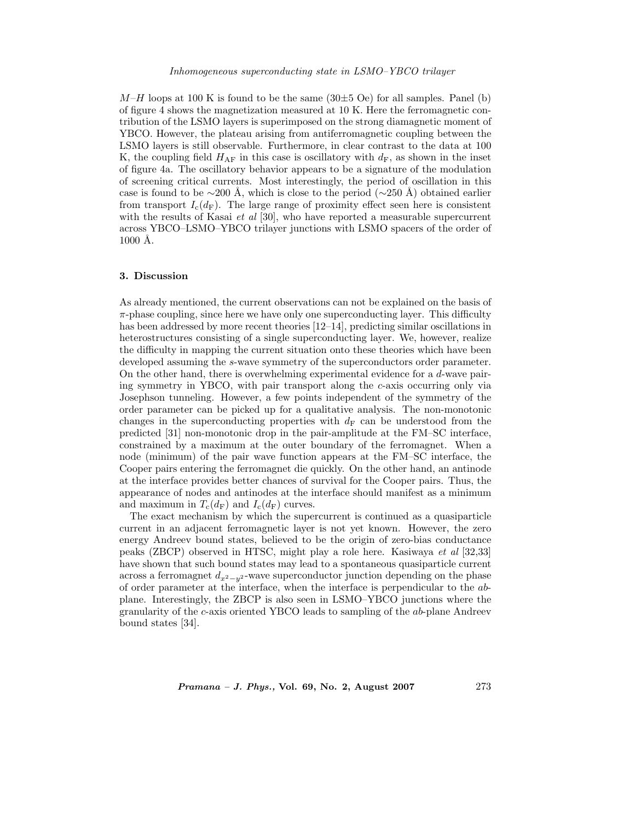#### *Inhomogeneous superconducting state in LSMO–YBCO trilayer*

 $M-H$  loops at 100 K is found to be the same (30 $\pm$ 5 Oe) for all samples. Panel (b) of figure 4 shows the magnetization measured at 10 K. Here the ferromagnetic contribution of the LSMO layers is superimposed on the strong diamagnetic moment of YBCO. However, the plateau arising from antiferromagnetic coupling between the LSMO layers is still observable. Furthermore, in clear contrast to the data at 100 K, the coupling field  $H_{\rm AF}$  in this case is oscillatory with  $d_{\rm F}$ , as shown in the inset of figure 4a. The oscillatory behavior appears to be a signature of the modulation of screening critical currents. Most interestingly, the period of oscillation in this case is found to be  $\sim$ 200 Å, which is close to the period ( $\sim$ 250 Å) obtained earlier from transport  $I_c(d_F)$ . The large range of proximity effect seen here is consistent with the results of Kasai *et al* [30], who have reported a measurable supercurrent across YBCO–LSMO–YBCO trilayer junctions with LSMO spacers of the order of  $1000$  Å.

#### **3. Discussion**

As already mentioned, the current observations can not be explained on the basis of  $\pi$ -phase coupling, since here we have only one superconducting layer. This difficulty has been addressed by more recent theories [12–14], predicting similar oscillations in heterostructures consisting of a single superconducting layer. We, however, realize the difficulty in mapping the current situation onto these theories which have been developed assuming the s-wave symmetry of the superconductors order parameter. On the other hand, there is overwhelming experimental evidence for a d-wave pairing symmetry in YBCO, with pair transport along the c-axis occurring only via Josephson tunneling. However, a few points independent of the symmetry of the order parameter can be picked up for a qualitative analysis. The non-monotonic changes in the superconducting properties with  $d_F$  can be understood from the predicted [31] non-monotonic drop in the pair-amplitude at the FM–SC interface, constrained by a maximum at the outer boundary of the ferromagnet. When a node (minimum) of the pair wave function appears at the FM–SC interface, the Cooper pairs entering the ferromagnet die quickly. On the other hand, an antinode at the interface provides better chances of survival for the Cooper pairs. Thus, the appearance of nodes and antinodes at the interface should manifest as a minimum and maximum in  $T_c(d_F)$  and  $I_c(d_F)$  curves.

The exact mechanism by which the supercurrent is continued as a quasiparticle current in an adjacent ferromagnetic layer is not yet known. However, the zero energy Andreev bound states, believed to be the origin of zero-bias conductance peaks (ZBCP) observed in HTSC, might play a role here. Kasiwaya *et al* [32,33] have shown that such bound states may lead to a spontaneous quasiparticle current across a ferromagnet <sup>d</sup>*x*2*−y*<sup>2</sup> -wave superconductor junction depending on the phase of order parameter at the interface, when the interface is perpendicular to the abplane. Interestingly, the ZBCP is also seen in LSMO–YBCO junctions where the granularity of the c-axis oriented YBCO leads to sampling of the ab-plane Andreev bound states [34].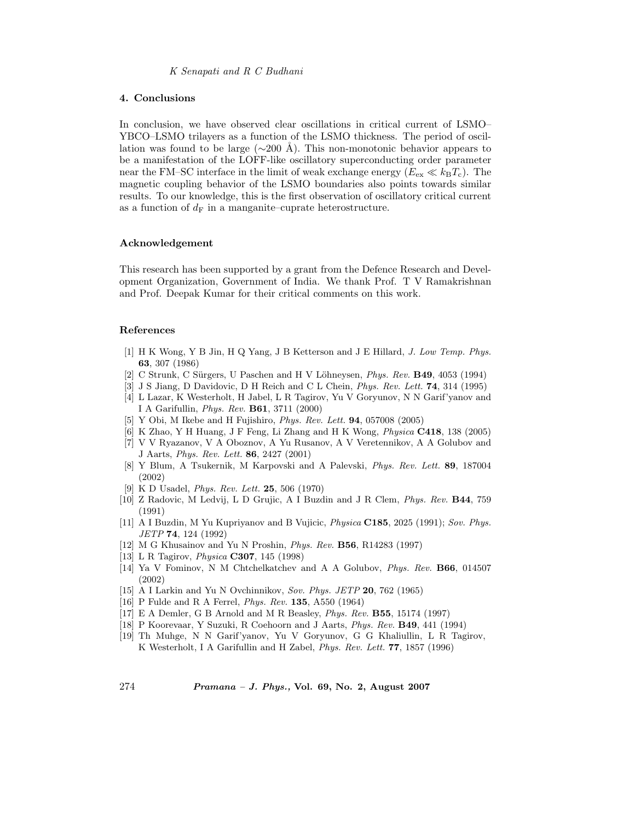## **4. Conclusions**

In conclusion, we have observed clear oscillations in critical current of LSMO– YBCO–LSMO trilayers as a function of the LSMO thickness. The period of oscillation was found to be large ( $\sim$ 200 Å). This non-monotonic behavior appears to be a manifestation of the LOFF-like oscillatory superconducting order parameter near the FM–SC interface in the limit of weak exchange energy  $(E_{ex} \ll k_BT_c)$ . The magnetic coupling behavior of the LSMO boundaries also points towards similar results. To our knowledge, this is the first observation of oscillatory critical current as a function of  $d_{\rm F}$  in a manganite–cuprate heterostructure.

## **Acknowledgement**

This research has been supported by a grant from the Defence Research and Development Organization, Government of India. We thank Prof. T V Ramakrishnan and Prof. Deepak Kumar for their critical comments on this work.

#### **References**

- [1] H K Wong, Y B Jin, H Q Yang, J B Ketterson and J E Hillard, *J. Low Temp. Phys.* **63**, 307 (1986)
- [2] C Strunk, C S¨urgers, U Paschen and H V L¨ohneysen, *Phys. Rev.* **B49**, 4053 (1994)
- [3] J S Jiang, D Davidovic, D H Reich and C L Chein, *Phys. Rev. Lett.* **74**, 314 (1995)
- [4] L Lazar, K Westerholt, H Jabel, L R Tagirov, Yu V Goryunov, N N Garif'yanov and I A Garifullin, *Phys. Rev.* **B61**, 3711 (2000)
- [5] Y Obi, M Ikebe and H Fujishiro, *Phys. Rev. Lett.* **94**, 057008 (2005)
- [6] K Zhao, Y H Huang, J F Feng, Li Zhang and H K Wong, *Physica* **C418**, 138 (2005)
- [7] V V Ryazanov, V A Oboznov, A Yu Rusanov, A V Veretennikov, A A Golubov and J Aarts, *Phys. Rev. Lett.* **86**, 2427 (2001)
- [8] Y Blum, A Tsukernik, M Karpovski and A Palevski, *Phys. Rev. Lett.* **89**, 187004 (2002)
- [9] K D Usadel, *Phys. Rev. Lett.* **25**, 506 (1970)
- [10] Z Radovic, M Ledvij, L D Grujic, A I Buzdin and J R Clem, *Phys. Rev.* **B44**, 759 (1991)
- [11] A I Buzdin, M Yu Kupriyanov and B Vujicic, *Physica* **C185**, 2025 (1991); *Sov. Phys. JETP* **74**, 124 (1992)
- [12] M G Khusainov and Yu N Proshin, *Phys. Rev.* **B56**, R14283 (1997)
- [13] L R Tagirov, *Physica* **C307**, 145 (1998)
- [14] Ya V Fominov, N M Chtchelkatchev and A A Golubov, *Phys. Rev.* **B66**, 014507 (2002)
- [15] A I Larkin and Yu N Ovchinnikov, *Sov. Phys. JETP* **20**, 762 (1965)
- [16] P Fulde and R A Ferrel, *Phys. Rev.* **135**, A550 (1964)
- [17] E A Demler, G B Arnold and M R Beasley, *Phys. Rev.* **B55**, 15174 (1997)
- [18] P Koorevaar, Y Suzuki, R Coehoorn and J Aarts, *Phys. Rev.* **B49**, 441 (1994)
- [19] Th Muhge, N N Garif'yanov, Yu V Goryunov, G G Khaliullin, L R Tagirov, K Westerholt, I A Garifullin and H Zabel, *Phys. Rev. Lett.* **77**, 1857 (1996)